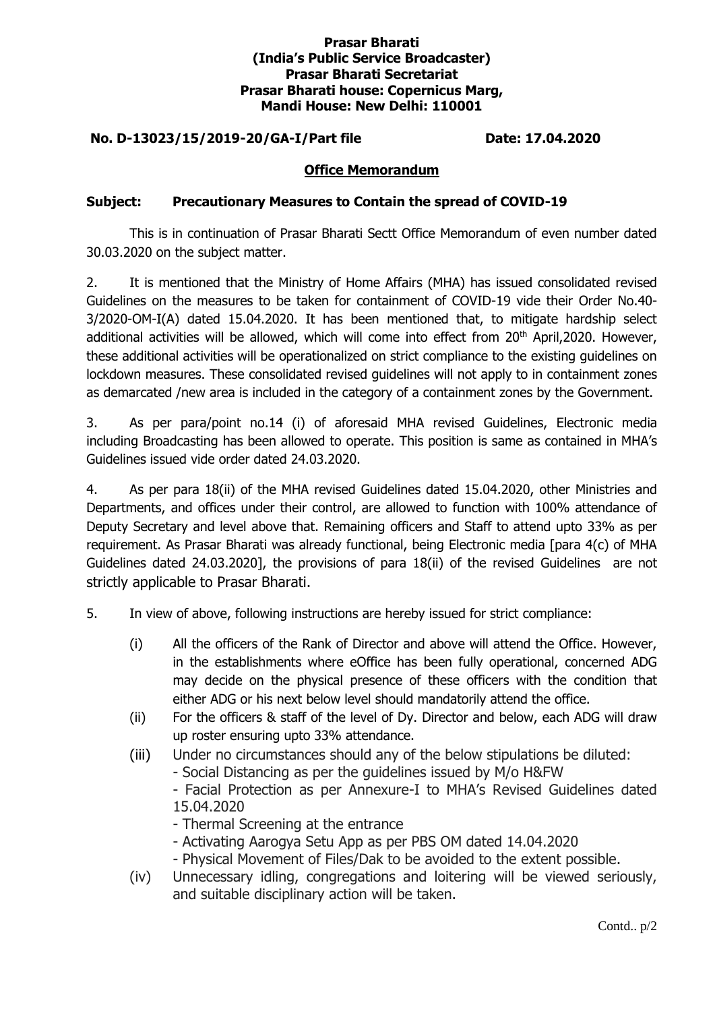## **Prasar Bharati (India's Public Service Broadcaster) Prasar Bharati Secretariat Prasar Bharati house: Copernicus Marg, Mandi House: New Delhi: 110001**

# **No. D-13023/15/2019-20/GA-I/Part file Date: 17.04.2020**

#### **Office Memorandum**

## **Subject: Precautionary Measures to Contain the spread of COVID-19**

This is in continuation of Prasar Bharati Sectt Office Memorandum of even number dated 30.03.2020 on the subject matter.

2. It is mentioned that the Ministry of Home Affairs (MHA) has issued consolidated revised Guidelines on the measures to be taken for containment of COVID-19 vide their Order No.40- 3/2020-OM-I(A) dated 15.04.2020. It has been mentioned that, to mitigate hardship select additional activities will be allowed, which will come into effect from 20<sup>th</sup> April,2020. However, these additional activities will be operationalized on strict compliance to the existing guidelines on lockdown measures. These consolidated revised guidelines will not apply to in containment zones as demarcated /new area is included in the category of a containment zones by the Government.

3. As per para/point no.14 (i) of aforesaid MHA revised Guidelines, Electronic media including Broadcasting has been allowed to operate. This position is same as contained in MHA's Guidelines issued vide order dated 24.03.2020.

4. As per para 18(ii) of the MHA revised Guidelines dated 15.04.2020, other Ministries and Departments, and offices under their control, are allowed to function with 100% attendance of Deputy Secretary and level above that. Remaining officers and Staff to attend upto 33% as per requirement. As Prasar Bharati was already functional, being Electronic media [para 4(c) of MHA Guidelines dated 24.03.2020], the provisions of para 18(ii) of the revised Guidelines are not strictly applicable to Prasar Bharati.

- 5. In view of above, following instructions are hereby issued for strict compliance:
	- (i) All the officers of the Rank of Director and above will attend the Office. However, in the establishments where eOffice has been fully operational, concerned ADG may decide on the physical presence of these officers with the condition that either ADG or his next below level should mandatorily attend the office.
	- (ii) For the officers & staff of the level of Dy. Director and below, each ADG will draw up roster ensuring upto 33% attendance.
	- (iii) Under no circumstances should any of the below stipulations be diluted:
		- Social Distancing as per the guidelines issued by M/o H&FW

- Facial Protection as per Annexure-I to MHA's Revised Guidelines dated 15.04.2020

- Thermal Screening at the entrance
- Activating Aarogya Setu App as per PBS OM dated 14.04.2020
- Physical Movement of Files/Dak to be avoided to the extent possible.
- (iv) Unnecessary idling, congregations and loitering will be viewed seriously, and suitable disciplinary action will be taken.